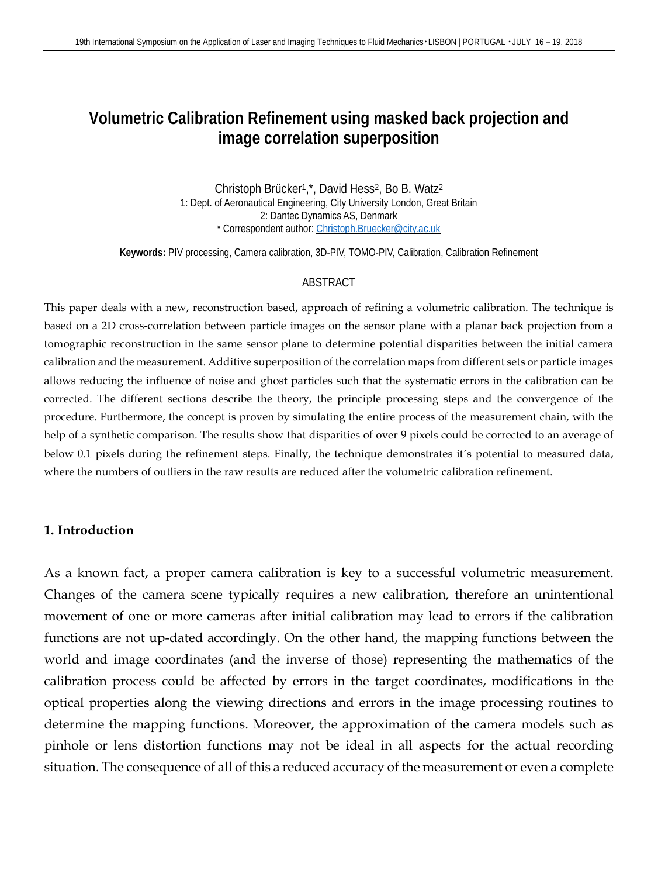# **Volumetric Calibration Refinement using masked back projection and image correlation superposition**

Christoph Brücker1,\*, David Hess2, Bo B. Watz2 1: Dept. of Aeronautical Engineering, City University London, Great Britain 2: Dantec Dynamics AS, Denmark \* Correspondent author: [Christoph.Bruecker@city.ac.uk](mailto:Christoph.Bruecker@city.ac.uk)

**Keywords:** PIV processing, Camera calibration, 3D-PIV, TOMO-PIV, Calibration, Calibration Refinement

#### ABSTRACT

This paper deals with a new, reconstruction based, approach of refining a volumetric calibration. The technique is based on a 2D cross-correlation between particle images on the sensor plane with a planar back projection from a tomographic reconstruction in the same sensor plane to determine potential disparities between the initial camera calibration and the measurement. Additive superposition of the correlation maps from different sets or particle images allows reducing the influence of noise and ghost particles such that the systematic errors in the calibration can be corrected. The different sections describe the theory, the principle processing steps and the convergence of the procedure. Furthermore, the concept is proven by simulating the entire process of the measurement chain, with the help of a synthetic comparison. The results show that disparities of over 9 pixels could be corrected to an average of below 0.1 pixels during the refinement steps. Finally, the technique demonstrates it´s potential to measured data, where the numbers of outliers in the raw results are reduced after the volumetric calibration refinement.

### **1. Introduction**

As a known fact, a proper camera calibration is key to a successful volumetric measurement. Changes of the camera scene typically requires a new calibration, therefore an unintentional movement of one or more cameras after initial calibration may lead to errors if the calibration functions are not up-dated accordingly. On the other hand, the mapping functions between the world and image coordinates (and the inverse of those) representing the mathematics of the calibration process could be affected by errors in the target coordinates, modifications in the optical properties along the viewing directions and errors in the image processing routines to determine the mapping functions. Moreover, the approximation of the camera models such as pinhole or lens distortion functions may not be ideal in all aspects for the actual recording situation. The consequence of all of this a reduced accuracy of the measurement or even a complete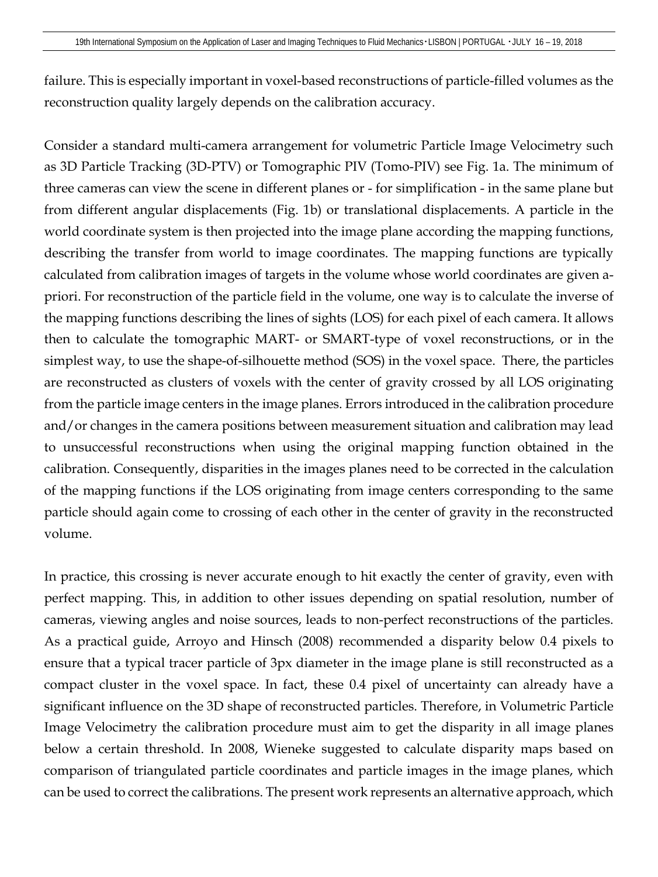failure. This is especially important in voxel-based reconstructions of particle-filled volumes as the reconstruction quality largely depends on the calibration accuracy.

Consider a standard multi-camera arrangement for volumetric Particle Image Velocimetry such as 3D Particle Tracking (3D-PTV) or Tomographic PIV (Tomo-PIV) see [Fig.](#page-2-0) 1a. The minimum of three cameras can view the scene in different planes or - for simplification - in the same plane but from different angular displacements [\(Fig.](#page-2-0) 1b) or translational displacements. A particle in the world coordinate system is then projected into the image plane according the mapping functions, describing the transfer from world to image coordinates. The mapping functions are typically calculated from calibration images of targets in the volume whose world coordinates are given apriori. For reconstruction of the particle field in the volume, one way is to calculate the inverse of the mapping functions describing the lines of sights (LOS) for each pixel of each camera. It allows then to calculate the tomographic MART- or SMART-type of voxel reconstructions, or in the simplest way, to use the shape-of-silhouette method (SOS) in the voxel space. There, the particles are reconstructed as clusters of voxels with the center of gravity crossed by all LOS originating from the particle image centers in the image planes. Errors introduced in the calibration procedure and/or changes in the camera positions between measurement situation and calibration may lead to unsuccessful reconstructions when using the original mapping function obtained in the calibration. Consequently, disparities in the images planes need to be corrected in the calculation of the mapping functions if the LOS originating from image centers corresponding to the same particle should again come to crossing of each other in the center of gravity in the reconstructed volume.

In practice, this crossing is never accurate enough to hit exactly the center of gravity, even with perfect mapping. This, in addition to other issues depending on spatial resolution, number of cameras, viewing angles and noise sources, leads to non-perfect reconstructions of the particles. As a practical guide, Arroyo and Hinsch (2008) recommended a disparity below 0.4 pixels to ensure that a typical tracer particle of 3px diameter in the image plane is still reconstructed as a compact cluster in the voxel space. In fact, these 0.4 pixel of uncertainty can already have a significant influence on the 3D shape of reconstructed particles. Therefore, in Volumetric Particle Image Velocimetry the calibration procedure must aim to get the disparity in all image planes below a certain threshold. In 2008, Wieneke suggested to calculate disparity maps based on comparison of triangulated particle coordinates and particle images in the image planes, which can be used to correct the calibrations. The present work represents an alternative approach, which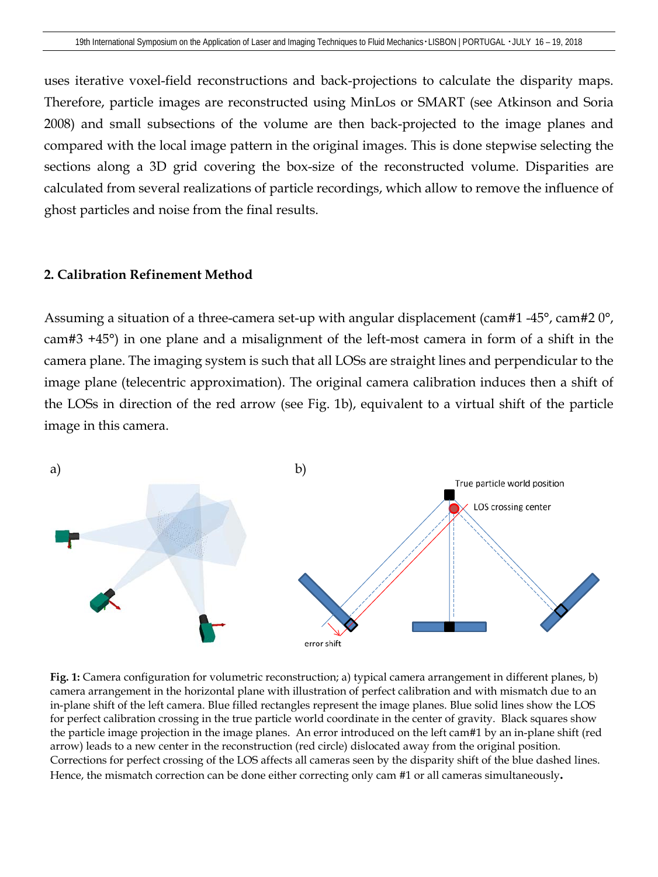uses iterative voxel-field reconstructions and back-projections to calculate the disparity maps. Therefore, particle images are reconstructed using MinLos or SMART (see Atkinson and Soria 2008) and small subsections of the volume are then back-projected to the image planes and compared with the local image pattern in the original images. This is done stepwise selecting the sections along a 3D grid covering the box-size of the reconstructed volume. Disparities are calculated from several realizations of particle recordings, which allow to remove the influence of ghost particles and noise from the final results.

### **2. Calibration Refinement Method**

Assuming a situation of a three-camera set-up with angular displacement (cam#1 -45°, cam#2 0°, cam#3 +45°) in one plane and a misalignment of the left-most camera in form of a shift in the camera plane. The imaging system is such that all LOSs are straight lines and perpendicular to the image plane (telecentric approximation). The original camera calibration induces then a shift of the LOSs in direction of the red arrow (see [Fig.](#page-2-0) 1b), equivalent to a virtual shift of the particle image in this camera.



<span id="page-2-0"></span>**Fig. 1:** Camera configuration for volumetric reconstruction; a) typical camera arrangement in different planes, b) camera arrangement in the horizontal plane with illustration of perfect calibration and with mismatch due to an in-plane shift of the left camera. Blue filled rectangles represent the image planes. Blue solid lines show the LOS for perfect calibration crossing in the true particle world coordinate in the center of gravity. Black squares show the particle image projection in the image planes. An error introduced on the left cam#1 by an in-plane shift (red arrow) leads to a new center in the reconstruction (red circle) dislocated away from the original position. Corrections for perfect crossing of the LOS affects all cameras seen by the disparity shift of the blue dashed lines. Hence, the mismatch correction can be done either correcting only cam #1 or all cameras simultaneously**.**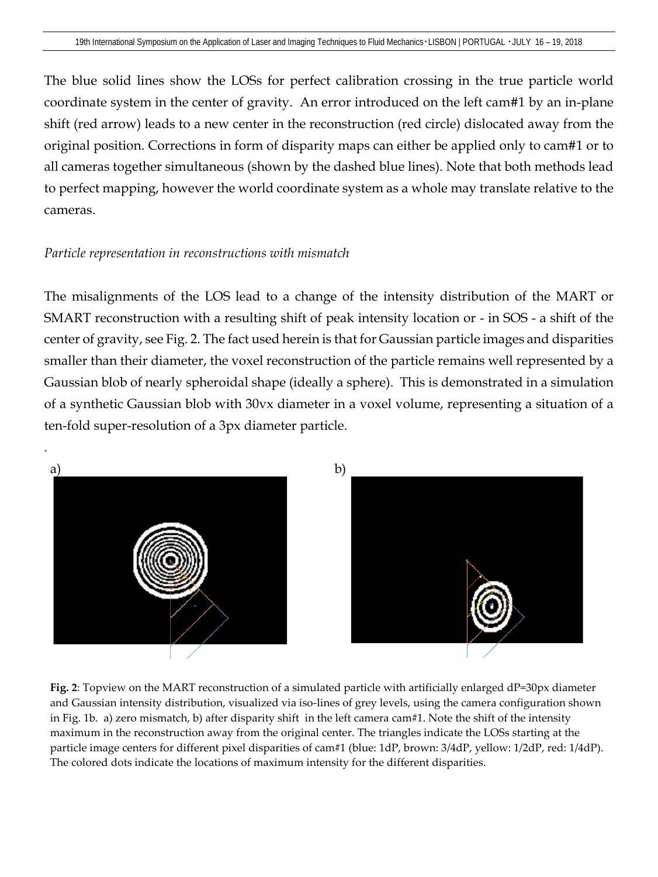The blue solid lines show the LOSs for perfect calibration crossing in the true particle world coordinate system in the center of gravity. An error introduced on the left cam#1 by an in-plane shift (red arrow) leads to a new center in the reconstruction (red circle) dislocated away from the original position. Corrections in form of disparity maps can either be applied only to cam#1 or to all cameras together simultaneous (shown by the dashed blue lines). Note that both methods lead to perfect mapping, however the world coordinate system as a whole may translate relative to the cameras.

### *Particle representation in reconstructions with mismatch*

The misalignments of the LOS lead to a change of the intensity distribution of the MART or SMART reconstruction with a resulting shift of peak intensity location or - in SOS - a shift of the center of gravity, see Fig. 2. The fact used herein is that for Gaussian particle images and disparities smaller than their diameter, the voxel reconstruction of the particle remains well represented by a Gaussian blob of nearly spheroidal shape (ideally a sphere). This is demonstrated in a simulation of a synthetic Gaussian blob with 30vx diameter in a voxel volume, representing a situation of a ten-fold super-resolution of a 3px diameter particle.

<span id="page-3-0"></span>

**Fig. 2**: Topview on the MART reconstruction of a simulated particle with artificially enlarged dP=30px diameter and Gaussian intensity distribution, visualized via iso-lines of grey levels, using the camera configuration shown i[n Fig. 1b](#page-2-0). a) zero mismatch, b) after disparity shift in the left camera cam#1. Note the shift of the intensity maximum in the reconstruction away from the original center. The triangles indicate the LOSs starting at the particle image centers for different pixel disparities of cam#1 (blue: 1dP, brown: 3/4dP, yellow: 1/2dP, red: 1/4dP). The colored dots indicate the locations of maximum intensity for the different disparities.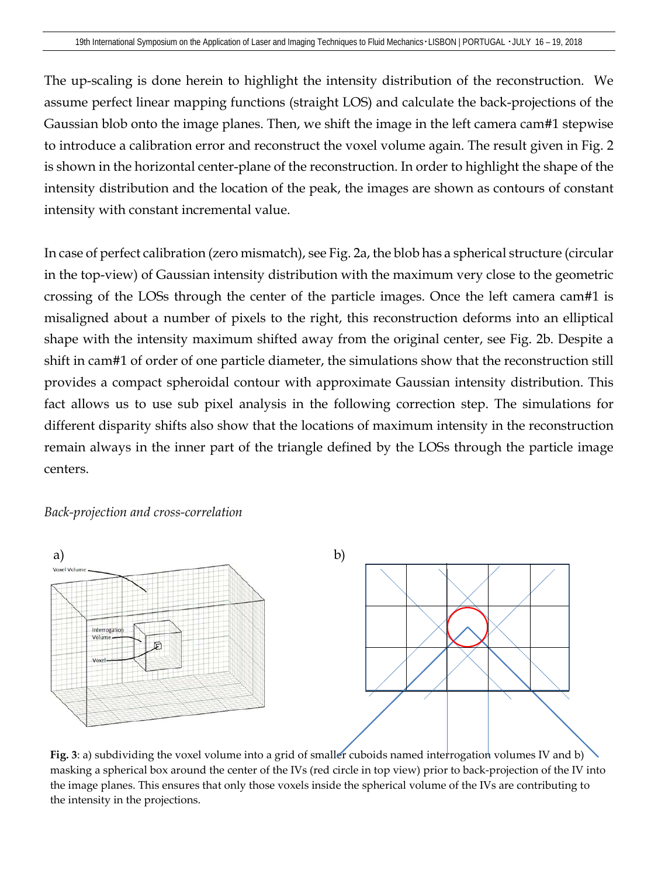The up-scaling is done herein to highlight the intensity distribution of the reconstruction. We assume perfect linear mapping functions (straight LOS) and calculate the back-projections of the Gaussian blob onto the image planes. Then, we shift the image in the left camera cam#1 stepwise to introduce a calibration error and reconstruct the voxel volume again. The result given in [Fig.](#page-3-0) 2 is shown in the horizontal center-plane of the reconstruction. In order to highlight the shape of the intensity distribution and the location of the peak, the images are shown as contours of constant intensity with constant incremental value.

In case of perfect calibration (zero mismatch), see [Fig.](#page-3-0) 2a, the blob has a spherical structure (circular in the top-view) of Gaussian intensity distribution with the maximum very close to the geometric crossing of the LOSs through the center of the particle images. Once the left camera cam#1 is misaligned about a number of pixels to the right, this reconstruction deforms into an elliptical shape with the intensity maximum shifted away from the original center, see [Fig.](#page-3-0) 2b. Despite a shift in cam#1 of order of one particle diameter, the simulations show that the reconstruction still provides a compact spheroidal contour with approximate Gaussian intensity distribution. This fact allows us to use sub pixel analysis in the following correction step. The simulations for different disparity shifts also show that the locations of maximum intensity in the reconstruction remain always in the inner part of the triangle defined by the LOSs through the particle image centers.

### *Back-projection and cross-correlation*



**Fig. 3**: a) subdividing the voxel volume into a grid of smaller cuboids named interrogation volumes IV and b) masking a spherical box around the center of the IVs (red circle in top view) prior to back-projection of the IV into the image planes. This ensures that only those voxels inside the spherical volume of the IVs are contributing to the intensity in the projections.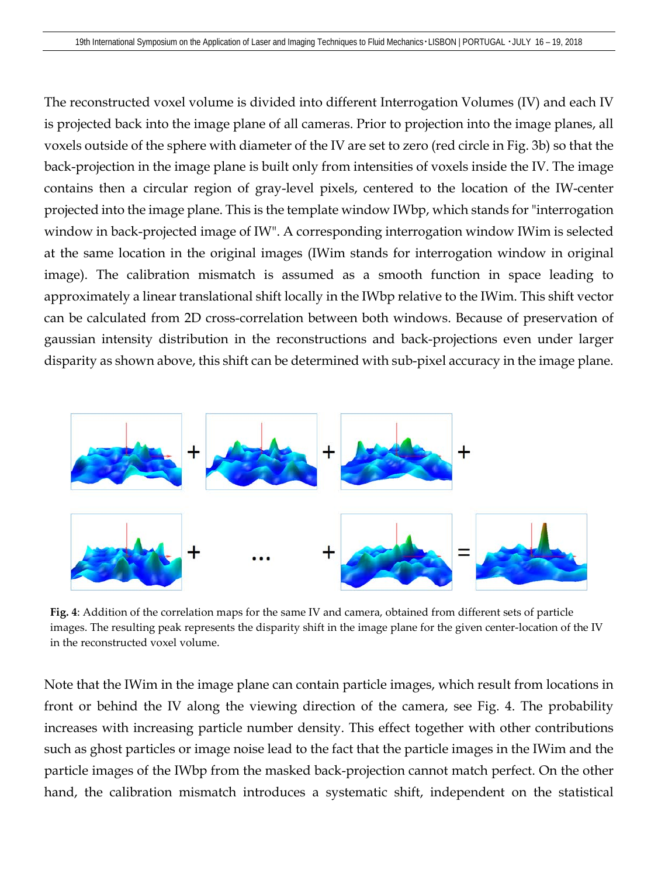The reconstructed voxel volume is divided into different Interrogation Volumes (IV) and each IV is projected back into the image plane of all cameras. Prior to projection into the image planes, all voxels outside of the sphere with diameter of the IV are set to zero (red circle in Fig. 3b) so that the back-projection in the image plane is built only from intensities of voxels inside the IV. The image contains then a circular region of gray-level pixels, centered to the location of the IW-center projected into the image plane. This is the template window IWbp, which stands for "interrogation window in back-projected image of IW". A corresponding interrogation window IWim is selected at the same location in the original images (IWim stands for interrogation window in original image). The calibration mismatch is assumed as a smooth function in space leading to approximately a linear translational shift locally in the IWbp relative to the IWim. This shift vector can be calculated from 2D cross-correlation between both windows. Because of preservation of gaussian intensity distribution in the reconstructions and back-projections even under larger disparity as shown above, this shift can be determined with sub-pixel accuracy in the image plane.



<span id="page-5-0"></span>**Fig. 4**: Addition of the correlation maps for the same IV and camera, obtained from different sets of particle images. The resulting peak represents the disparity shift in the image plane for the given center-location of the IV in the reconstructed voxel volume.

Note that the IWim in the image plane can contain particle images, which result from locations in front or behind the IV along the viewing direction of the camera, see [Fig.](#page-5-0) 4. The probability increases with increasing particle number density. This effect together with other contributions such as ghost particles or image noise lead to the fact that the particle images in the IWim and the particle images of the IWbp from the masked back-projection cannot match perfect. On the other hand, the calibration mismatch introduces a systematic shift, independent on the statistical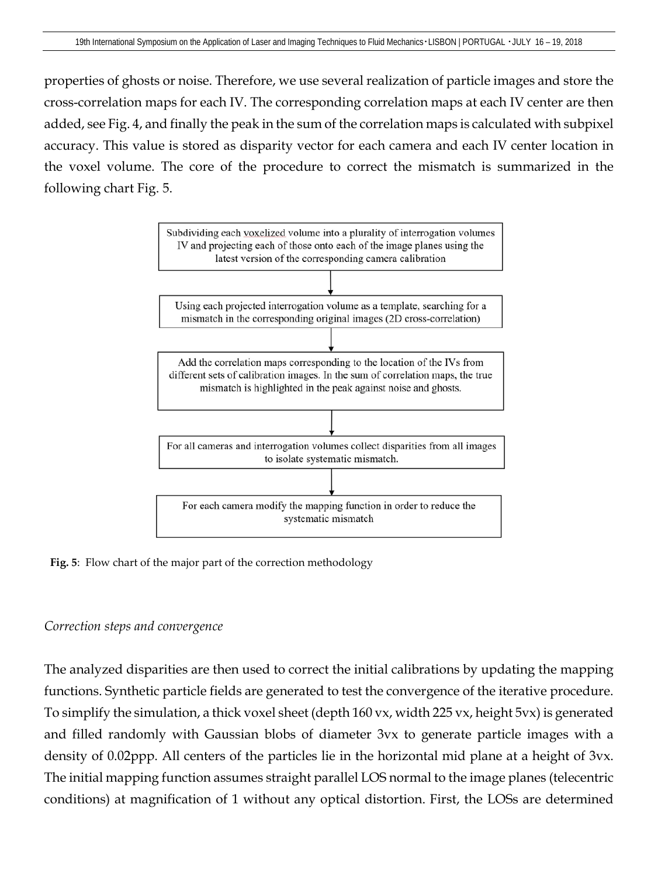properties of ghosts or noise. Therefore, we use several realization of particle images and store the cross-correlation maps for each IV. The corresponding correlation maps at each IV center are then added, see [Fig.](#page-5-0) 4, and finally the peak in the sum of the correlation maps is calculated with subpixel accuracy. This value is stored as disparity vector for each camera and each IV center location in the voxel volume. The core of the procedure to correct the mismatch is summarized in the following chart [Fig.](#page-6-0) 5.



<span id="page-6-0"></span>**Fig. 5**: Flow chart of the major part of the correction methodology

# *Correction steps and convergence*

The analyzed disparities are then used to correct the initial calibrations by updating the mapping functions. Synthetic particle fields are generated to test the convergence of the iterative procedure. To simplify the simulation, a thick voxel sheet (depth 160 vx, width 225 vx, height 5vx) is generated and filled randomly with Gaussian blobs of diameter 3vx to generate particle images with a density of 0.02ppp. All centers of the particles lie in the horizontal mid plane at a height of 3vx. The initial mapping function assumes straight parallel LOS normal to the image planes (telecentric conditions) at magnification of 1 without any optical distortion. First, the LOSs are determined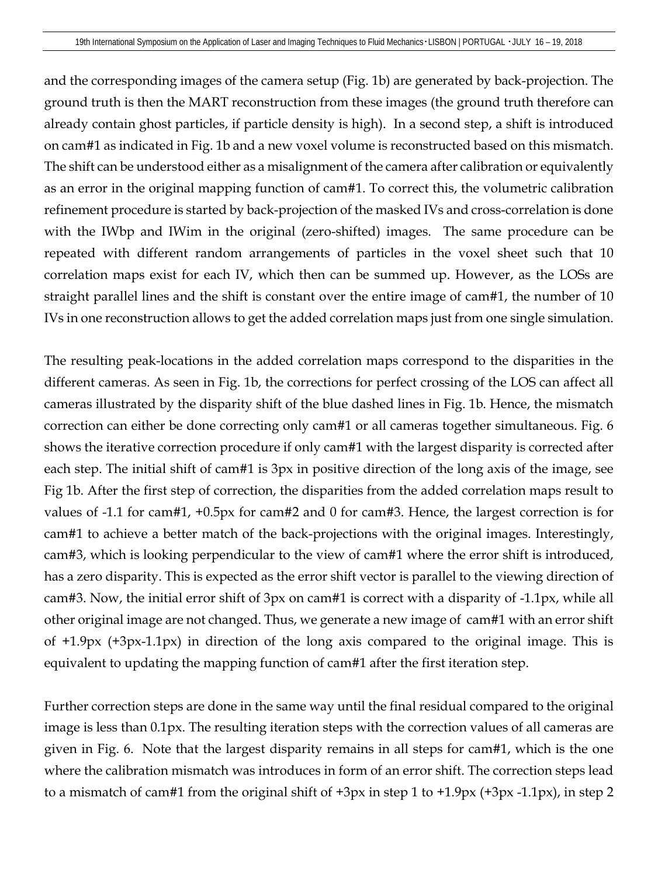and the corresponding images of the camera setup [\(Fig.](#page-2-0) 1b) are generated by back-projection. The ground truth is then the MART reconstruction from these images (the ground truth therefore can already contain ghost particles, if particle density is high). In a second step, a shift is introduced on cam#1 as indicated in [Fig.](#page-2-0) 1b and a new voxel volume is reconstructed based on this mismatch. The shift can be understood either as a misalignment of the camera after calibration or equivalently as an error in the original mapping function of cam#1. To correct this, the volumetric calibration refinement procedure is started by back-projection of the masked IVs and cross-correlation is done with the IWbp and IWim in the original (zero-shifted) images. The same procedure can be repeated with different random arrangements of particles in the voxel sheet such that 10 correlation maps exist for each IV, which then can be summed up. However, as the LOSs are straight parallel lines and the shift is constant over the entire image of cam#1, the number of 10 IVs in one reconstruction allows to get the added correlation maps just from one single simulation.

The resulting peak-locations in the added correlation maps correspond to the disparities in the different cameras. As seen in [Fig.](#page-2-0) 1b, the corrections for perfect crossing of the LOS can affect all cameras illustrated by the disparity shift of the blue dashed lines in [Fig.](#page-2-0) 1b. Hence, the mismatch correction can either be done correcting only cam#1 or all cameras together simultaneous. [Fig.](#page-8-0) 6 shows the iterative correction procedure if only cam#1 with the largest disparity is corrected after each step. The initial shift of cam#1 is 3px in positive direction of the long axis of the image, see Fig 1b. After the first step of correction, the disparities from the added correlation maps result to values of -1.1 for cam#1, +0.5px for cam#2 and 0 for cam#3. Hence, the largest correction is for cam#1 to achieve a better match of the back-projections with the original images. Interestingly, cam#3, which is looking perpendicular to the view of cam#1 where the error shift is introduced, has a zero disparity. This is expected as the error shift vector is parallel to the viewing direction of cam#3. Now, the initial error shift of 3px on cam#1 is correct with a disparity of -1.1px, while all other original image are not changed. Thus, we generate a new image of cam#1 with an error shift of +1.9px (+3px-1.1px) in direction of the long axis compared to the original image. This is equivalent to updating the mapping function of cam#1 after the first iteration step.

Further correction steps are done in the same way until the final residual compared to the original image is less than 0.1px. The resulting iteration steps with the correction values of all cameras are given in [Fig.](#page-8-0) 6. Note that the largest disparity remains in all steps for cam#1, which is the one where the calibration mismatch was introduces in form of an error shift. The correction steps lead to a mismatch of cam#1 from the original shift of +3px in step 1 to +1.9px (+3px -1.1px), in step 2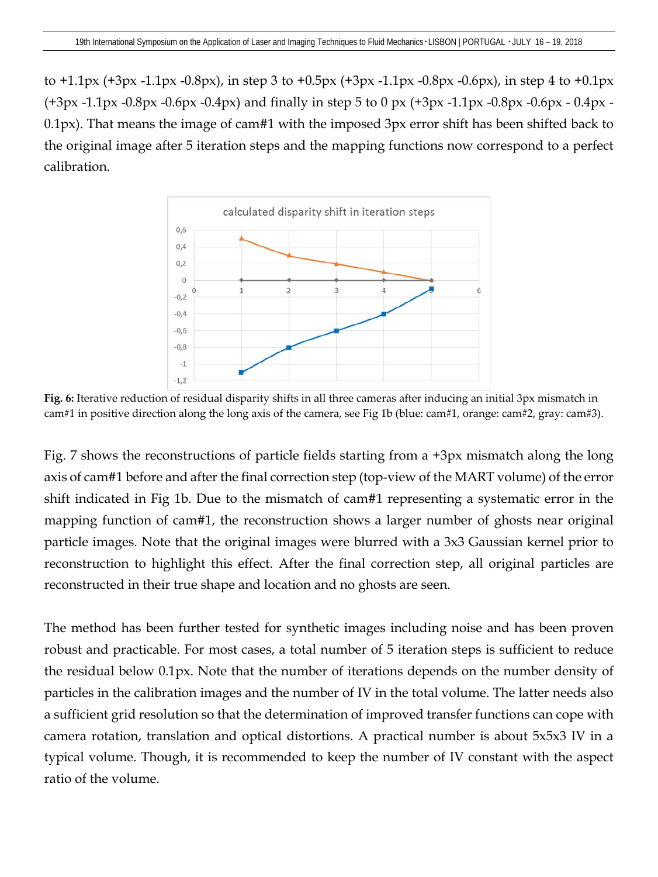to  $+1.1px$  ( $+3px$  -1.1px -0.8px), in step 3 to  $+0.5px$  ( $+3px$  -1.1px -0.8px -0.6px), in step 4 to  $+0.1px$ (+3px -1.1px -0.8px -0.6px -0.4px) and finally in step 5 to 0 px (+3px -1.1px -0.8px -0.6px - 0.4px - 0.1px). That means the image of cam#1 with the imposed 3px error shift has been shifted back to the original image after 5 iteration steps and the mapping functions now correspond to a perfect calibration.



<span id="page-8-0"></span>**Fig. 6:** Iterative reduction of residual disparity shifts in all three cameras after inducing an initial 3px mismatch in cam#1 in positive direction along the long axis of the camera, see Fig 1b (blue: cam#1, orange: cam#2, gray: cam#3).

[Fig.](#page-9-0) 7 shows the reconstructions of particle fields starting from a +3px mismatch along the long axis of cam#1 before and after the final correction step (top-view of the MART volume) of the error shift indicated in Fig 1b. Due to the mismatch of cam#1 representing a systematic error in the mapping function of cam#1, the reconstruction shows a larger number of ghosts near original particle images. Note that the original images were blurred with a 3x3 Gaussian kernel prior to reconstruction to highlight this effect. After the final correction step, all original particles are reconstructed in their true shape and location and no ghosts are seen.

The method has been further tested for synthetic images including noise and has been proven robust and practicable. For most cases, a total number of 5 iteration steps is sufficient to reduce the residual below 0.1px. Note that the number of iterations depends on the number density of particles in the calibration images and the number of IV in the total volume. The latter needs also a sufficient grid resolution so that the determination of improved transfer functions can cope with camera rotation, translation and optical distortions. A practical number is about 5x5x3 IV in a typical volume. Though, it is recommended to keep the number of IV constant with the aspect ratio of the volume.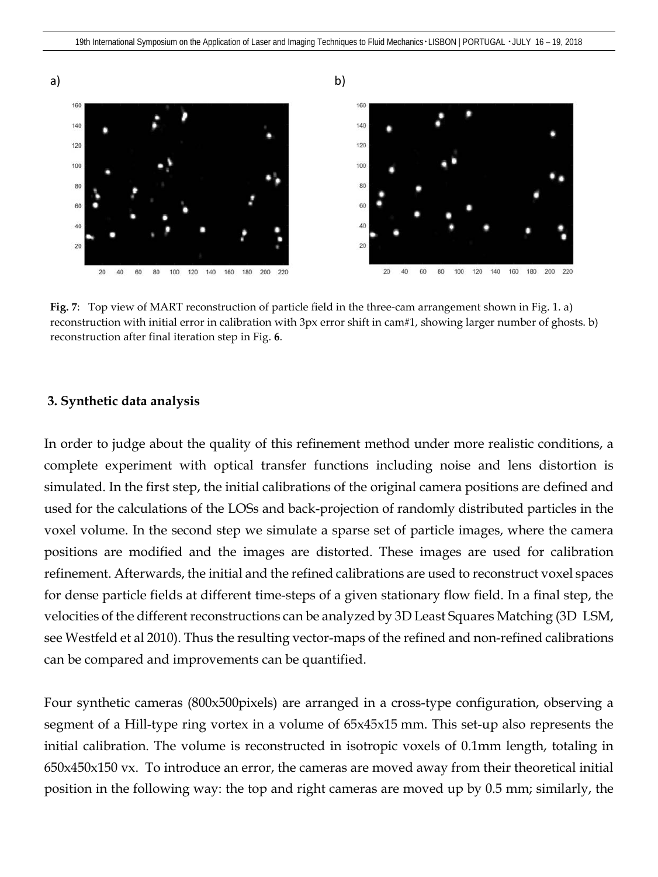

<span id="page-9-0"></span>**Fig. 7**: Top view of MART reconstruction of particle field in the three-cam arrangement shown in [Fig. 1.](#page-2-0) a) reconstruction with initial error in calibration with 3px error shift in cam#1, showing larger number of ghosts. b) reconstruction after final iteration step in [Fig.](#page-8-0) **6**.

#### **3. Synthetic data analysis**

In order to judge about the quality of this refinement method under more realistic conditions, a complete experiment with optical transfer functions including noise and lens distortion is simulated. In the first step, the initial calibrations of the original camera positions are defined and used for the calculations of the LOSs and back-projection of randomly distributed particles in the voxel volume. In the second step we simulate a sparse set of particle images, where the camera positions are modified and the images are distorted. These images are used for calibration refinement. Afterwards, the initial and the refined calibrations are used to reconstruct voxel spaces for dense particle fields at different time-steps of a given stationary flow field. In a final step, the velocities of the different reconstructions can be analyzed by 3D Least Squares Matching (3D LSM, see Westfeld et al 2010). Thus the resulting vector-maps of the refined and non-refined calibrations can be compared and improvements can be quantified.

Four synthetic cameras (800x500pixels) are arranged in a cross-type configuration, observing a segment of a Hill-type ring vortex in a volume of 65x45x15 mm. This set-up also represents the initial calibration. The volume is reconstructed in isotropic voxels of 0.1mm length, totaling in 650x450x150 vx. To introduce an error, the cameras are moved away from their theoretical initial position in the following way: the top and right cameras are moved up by 0.5 mm; similarly, the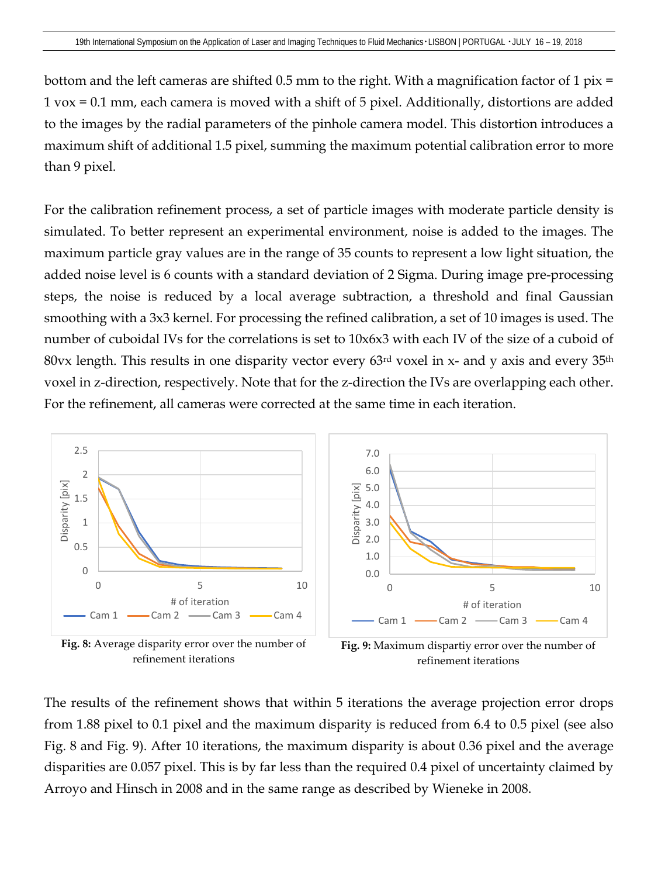bottom and the left cameras are shifted 0.5 mm to the right. With a magnification factor of 1 pix = 1 vox = 0.1 mm, each camera is moved with a shift of 5 pixel. Additionally, distortions are added to the images by the radial parameters of the pinhole camera model. This distortion introduces a maximum shift of additional 1.5 pixel, summing the maximum potential calibration error to more than 9 pixel.

For the calibration refinement process, a set of particle images with moderate particle density is simulated. To better represent an experimental environment, noise is added to the images. The maximum particle gray values are in the range of 35 counts to represent a low light situation, the added noise level is 6 counts with a standard deviation of 2 Sigma. During image pre-processing steps, the noise is reduced by a local average subtraction, a threshold and final Gaussian smoothing with a 3x3 kernel. For processing the refined calibration, a set of 10 images is used. The number of cuboidal IVs for the correlations is set to 10x6x3 with each IV of the size of a cuboid of 80vx length. This results in one disparity vector every  $63<sup>rd</sup>$  voxel in x- and y axis and every  $35<sup>th</sup>$ voxel in z-direction, respectively. Note that for the z-direction the IVs are overlapping each other. For the refinement, all cameras were corrected at the same time in each iteration.



<span id="page-10-0"></span>refinement iterations

The results of the refinement shows that within 5 iterations the average projection error drops from 1.88 pixel to 0.1 pixel and the maximum disparity is reduced from 6.4 to 0.5 pixel (see also [Fig.](#page-10-0) 8 and [Fig.](#page-10-1) 9). After 10 iterations, the maximum disparity is about 0.36 pixel and the average disparities are 0.057 pixel. This is by far less than the required 0.4 pixel of uncertainty claimed by Arroyo and Hinsch in 2008 and in the same range as described by Wieneke in 2008.

<span id="page-10-1"></span>refinement iterations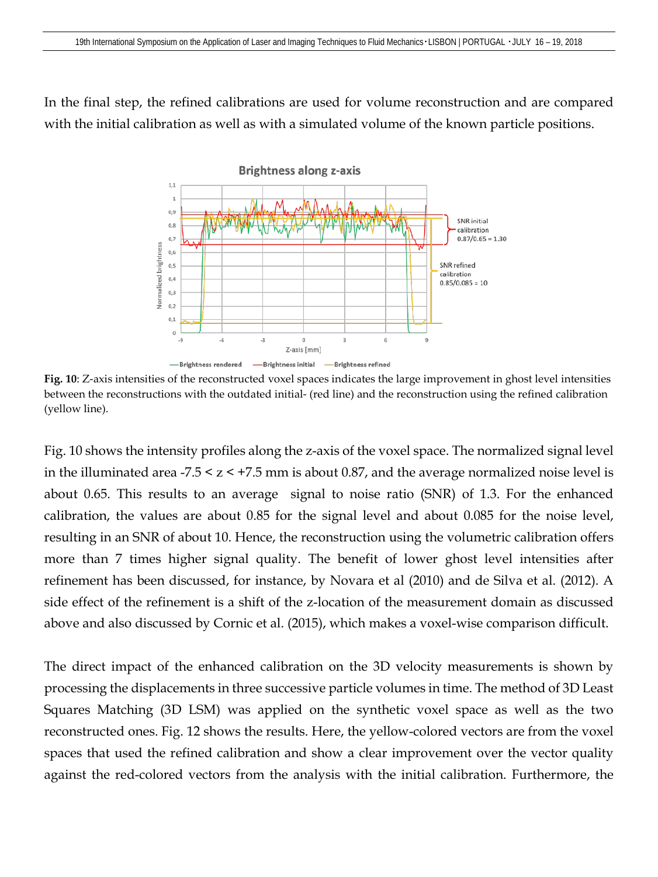In the final step, the refined calibrations are used for volume reconstruction and are compared with the initial calibration as well as with a simulated volume of the known particle positions.



**Fig. 10**: Z-axis intensities of the reconstructed voxel spaces indicates the large improvement in ghost level intensities between the reconstructions with the outdated initial- (red line) and the reconstruction using the refined calibration (yellow line).

Fig. 10 shows the intensity profiles along the z-axis of the voxel space. The normalized signal level in the illuminated area  $-7.5 \le z \le +7.5$  mm is about 0.87, and the average normalized noise level is about 0.65. This results to an average signal to noise ratio (SNR) of 1.3. For the enhanced calibration, the values are about 0.85 for the signal level and about 0.085 for the noise level, resulting in an SNR of about 10. Hence, the reconstruction using the volumetric calibration offers more than 7 times higher signal quality. The benefit of lower ghost level intensities after refinement has been discussed, for instance, by Novara et al (2010) and de Silva et al. (2012). A side effect of the refinement is a shift of the z-location of the measurement domain as discussed above and also discussed by Cornic et al. (2015), which makes a voxel-wise comparison difficult.

The direct impact of the enhanced calibration on the 3D velocity measurements is shown by processing the displacements in three successive particle volumes in time. The method of 3D Least Squares Matching (3D LSM) was applied on the synthetic voxel space as well as the two reconstructed ones. [Fig.](#page-12-0) 12 shows the results. Here, the yellow-colored vectors are from the voxel spaces that used the refined calibration and show a clear improvement over the vector quality against the red-colored vectors from the analysis with the initial calibration. Furthermore, the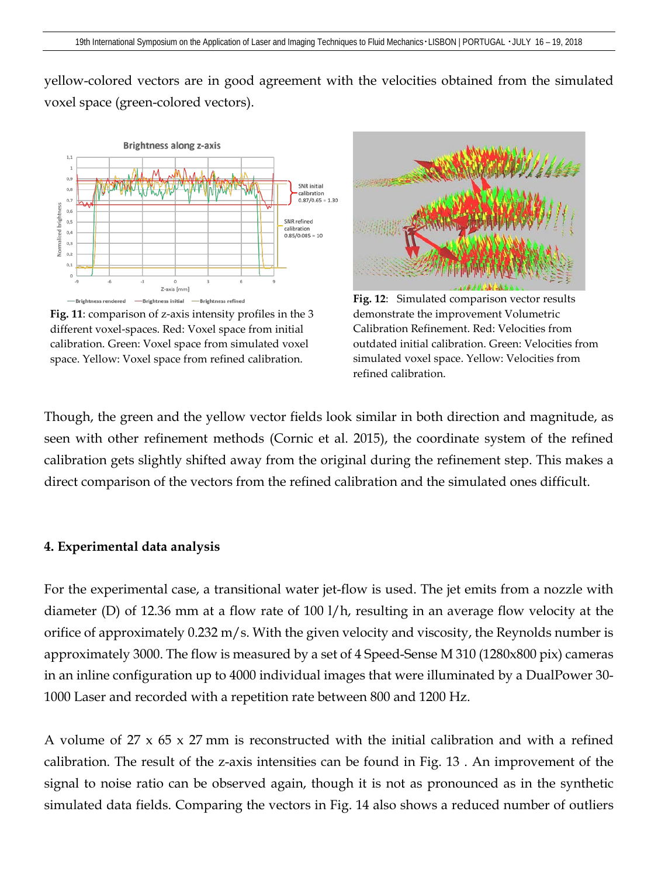yellow-colored vectors are in good agreement with the velocities obtained from the simulated voxel space (green-colored vectors).



**Fig. 11**: comparison of z-axis intensity profiles in the 3 different voxel-spaces. Red: Voxel space from initial calibration. Green: Voxel space from simulated voxel space. Yellow: Voxel space from refined calibration.



<span id="page-12-0"></span>**Fig. 12**: Simulated comparison vector results demonstrate the improvement Volumetric Calibration Refinement. Red: Velocities from outdated initial calibration. Green: Velocities from simulated voxel space. Yellow: Velocities from refined calibration.

Though, the green and the yellow vector fields look similar in both direction and magnitude, as seen with other refinement methods (Cornic et al. 2015), the coordinate system of the refined calibration gets slightly shifted away from the original during the refinement step. This makes a direct comparison of the vectors from the refined calibration and the simulated ones difficult.

### **4. Experimental data analysis**

For the experimental case, a transitional water jet-flow is used. The jet emits from a nozzle with diameter (D) of 12.36 mm at a flow rate of 100 l/h, resulting in an average flow velocity at the orifice of approximately 0.232 m/s. With the given velocity and viscosity, the Reynolds number is approximately 3000. The flow is measured by a set of 4 Speed-Sense M 310 (1280x800 pix) cameras in an inline configuration up to 4000 individual images that were illuminated by a DualPower 30- 1000 Laser and recorded with a repetition rate between 800 and 1200 Hz.

A volume of 27 x 65 x 27 mm is reconstructed with the initial calibration and with a refined calibration. The result of the z-axis intensities can be found in [Fig.](#page-13-0) 13 . An improvement of the signal to noise ratio can be observed again, though it is not as pronounced as in the synthetic simulated data fields. Comparing the vectors in [Fig.](#page-13-1) 14 also shows a reduced number of outliers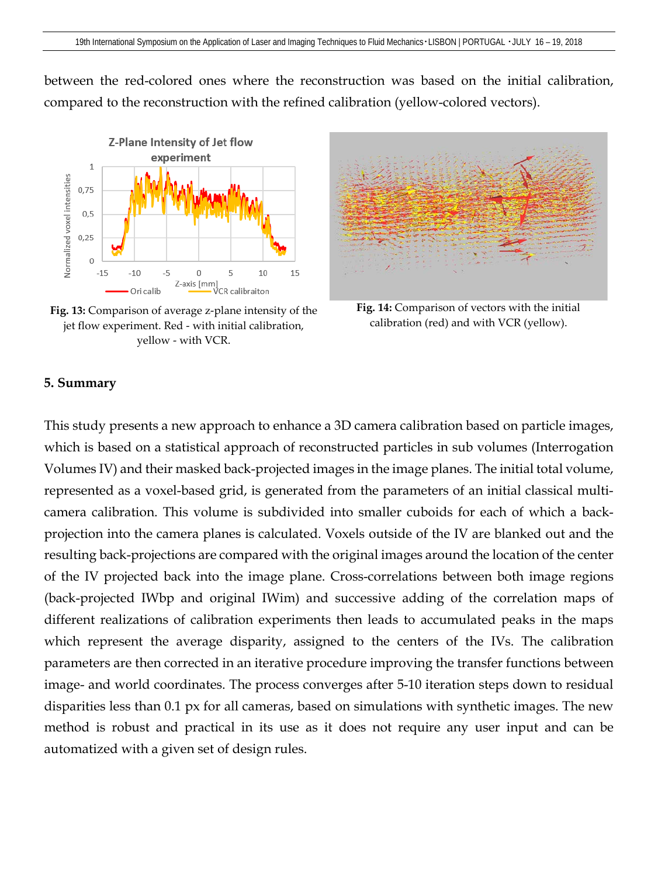between the red-colored ones where the reconstruction was based on the initial calibration, compared to the reconstruction with the refined calibration (yellow-colored vectors).



<span id="page-13-0"></span>**Fig. 13:** Comparison of average z-plane intensity of the jet flow experiment. Red - with initial calibration, yellow - with VCR.



<span id="page-13-1"></span>**Fig. 14:** Comparison of vectors with the initial calibration (red) and with VCR (yellow).

#### **5. Summary**

This study presents a new approach to enhance a 3D camera calibration based on particle images, which is based on a statistical approach of reconstructed particles in sub volumes (Interrogation Volumes IV) and their masked back-projected images in the image planes. The initial total volume, represented as a voxel-based grid, is generated from the parameters of an initial classical multicamera calibration. This volume is subdivided into smaller cuboids for each of which a backprojection into the camera planes is calculated. Voxels outside of the IV are blanked out and the resulting back-projections are compared with the original images around the location of the center of the IV projected back into the image plane. Cross-correlations between both image regions (back-projected IWbp and original IWim) and successive adding of the correlation maps of different realizations of calibration experiments then leads to accumulated peaks in the maps which represent the average disparity, assigned to the centers of the IVs. The calibration parameters are then corrected in an iterative procedure improving the transfer functions between image- and world coordinates. The process converges after 5-10 iteration steps down to residual disparities less than 0.1 px for all cameras, based on simulations with synthetic images. The new method is robust and practical in its use as it does not require any user input and can be automatized with a given set of design rules.